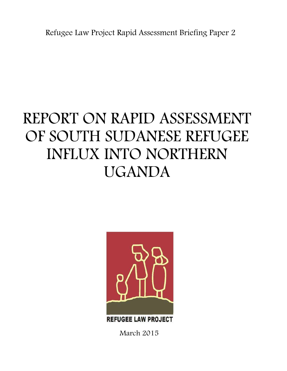Refugee Law Project Rapid Assessment Briefing Paper 2

# REPORT ON RAPID ASSESSMENT OF SOUTH SUDANESE REFUGEE INFLUX INTO NORTHERN UGANDA



**REFUGEE LAW PROJECT** 

March 2015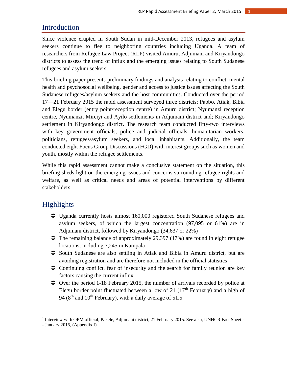## Introduction

Since violence erupted in South Sudan in mid-December 2013, refugees and asylum seekers continue to flee to neighboring countries including Uganda. A team of researchers from Refugee Law Project (RLP) visited Amuru, Adjumani and Kiryandongo districts to assess the trend of influx and the emerging issues relating to South Sudanese refugees and asylum seekers.

This briefing paper presents preliminary findings and analysis relating to conflict, mental health and psychosocial wellbeing, gender and access to justice issues affecting the South Sudanese refugees/asylum seekers and the host communities. Conducted over the period 17—21 February 2015 the rapid assessment surveyed three districts; Pabbo, Atiak, Bibia and Elegu border (entry point/reception centre) in Amuru district; Nyumanzi reception centre, Nyumanzi, Mireiyi and Ayilo settlements in Adjumani district and; Kiryandongo settlement in Kiryandongo district. The research team conducted fifty-two interviews with key government officials, police and judicial officials, humanitarian workers, politicians, refugees/asylum seekers, and local inhabitants. Additionally, the team conducted eight Focus Group Discussions (FGD) with interest groups such as women and youth, mostly within the refugee settlements.

While this rapid assessment cannot make a conclusive statement on the situation, this briefing sheds light on the emerging issues and concerns surrounding refugee rights and welfare, as well as critical needs and areas of potential interventions by different stakeholders.

## Highlights

- Uganda currently hosts almost 160,000 registered South Sudanese refugees and asylum seekers, of which the largest concentration (97,095 or 61%) are in Adjumani district, followed by Kiryandongo (34,637 or 22%)
- $\bullet$  The remaining balance of approximately 29,397 (17%) are found in eight refugee locations, including  $7,245$  in Kampala<sup>1</sup>
- South Sudanese are also settling in Atiak and Bibia in Amuru district, but are avoiding registration and are therefore not included in the official statistics
- Continuing conflict, fear of insecurity and the search for family reunion are key factors causing the current influx
- $\supset$  Over the period 1-18 February 2015, the number of arrivals recorded by police at Elegu border point fluctuated between a low of 21  $(17<sup>th</sup>$  February) and a high of 94 ( $8<sup>th</sup>$  and  $10<sup>th</sup>$  February), with a daily average of 51.5

 $\overline{a}$ 

<sup>&</sup>lt;sup>1</sup> Interview with OPM official, Pakele, Adjumani district, 21 February 2015. See also, UNHCR Fact Sheet -

<sup>-</sup> January 2015, (Appendix I)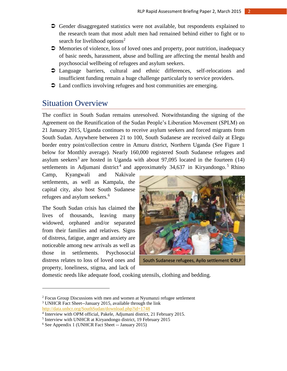- Gender disaggregated statistics were not available, but respondents explained to the research team that most adult men had remained behind either to fight or to search for livelihood options<sup>2</sup>
- Memories of violence, loss of loved ones and property, poor nutrition, inadequacy of basic needs, harassment, abuse and bulling are affecting the mental health and psychosocial wellbeing of refugees and asylum seekers.
- Language barriers, cultural and ethnic differences, self-relocations and insufficient funding remain a huge challenge particularly to service providers.
- $\supset$  Land conflicts involving refugees and host communities are emerging.

# Situation Overview

The conflict in South Sudan remains unresolved. Notwithstanding the signing of the Agreement on the Reunification of the Sudan People's Liberation Movement (SPLM) on 21 January 2015, Uganda continues to receive asylum seekers and forced migrants from South Sudan. Anywhere between 21 to 100, South Sudanese are received daily at Elegu border entry point/collection centre in Amuru district, Northern Uganda (See Figure 1 below for Monthly average). Nearly 160,000 registered South Sudanese refugees and asylum seekers<sup>3</sup> are hosted in Uganda with about 97,095 located in the fourteen  $(14)$ settlements in Adjumani district<sup>4</sup> and approximately  $34,637$  in Kiryandongo.<sup>5</sup> Rhino

Camp, Kyangwali and Nakivale settlements, as well as Kampala, the capital city, also host South Sudanese refugees and asylum seekers.<sup>6</sup>

The South Sudan crisis has claimed the lives of thousands, leaving many widowed, orphaned and/or separated from their families and relatives. Signs of distress, fatigue, anger and anxiety are noticeable among new arrivals as well as those in settlements. Psychosocial distress relates to loss of loved ones and property, loneliness, stigma, and lack of

 $\overline{\phantom{a}}$ 



domestic needs like adequate food, cooking utensils, clothing and bedding.

 $2$  Focus Group Discussions with men and women at Nyumanzi refugee settlement

<sup>3</sup> UNHCR Fact Sheet--January 2015, available through the link <http://data.unhcr.org/SouthSudan/download.php?id=1748>

<sup>4</sup> Interview with OPM official, Pakele, Adjumani district, 21 February 2015.

<sup>&</sup>lt;sup>5</sup> Interview with UNHCR at Kiryandongo district, 19 February 2015

<sup>6</sup> See Appendix 1 (UNHCR Fact Sheet -- January 2015)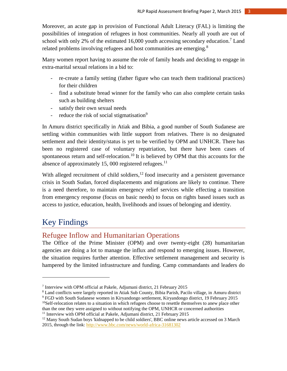Moreover, an acute gap in provision of Functional Adult Literacy (FAL) is limiting the possibilities of integration of refugees in host communities. Nearly all youth are out of school with only 2% of the estimated 16,000 youth accessing secondary education.<sup>7</sup> Land related problems involving refugees and host communities are emerging.<sup>8</sup>

Many women report having to assume the role of family heads and deciding to engage in extra-marital sexual relations in a bid to:

- re-create a family setting (father figure who can teach them traditional practices) for their children
- find a substitute bread winner for the family who can also complete certain tasks such as building shelters
- satisfy their own sexual needs
- reduce the risk of social stigmatisation<sup>9</sup>

In Amuru district specifically in Atiak and Bibia, a good number of South Sudanese are settling within communities with little support from relatives. There is no designated settlement and their identity/status is yet to be verified by OPM and UNHCR. There has been no registered case of voluntary repatriation, but there have been cases of spontaneous return and self-relocation.<sup>10</sup> It is believed by OPM that this accounts for the absence of approximately 15, 000 registered refugees. $^{11}$ 

With alleged recruitment of child soldiers, $^{12}$  food insecurity and a persistent governance crisis in South Sudan, forced displacements and migrations are likely to continue. There is a need therefore, to maintain emergency relief services while effecting a transition from emergency response (focus on basic needs) to focus on rights based issues such as access to justice, education, health, livelihoods and issues of belonging and identity.

# Key Findings

 $\overline{a}$ 

## Refugee Inflow and Humanitarian Operations

The Office of the Prime Minister (OPM) and over twenty-eight (28) humanitarian agencies are doing a lot to manage the influx and respond to emerging issues. However, the situation requires further attention. Effective settlement management and security is hampered by the limited infrastructure and funding. Camp commandants and leaders do

<sup>8</sup> Land conflicts were largely reported in Atiak Sub County, Bibia Parish, Pacilo village, in Amuru district

<sup>7</sup> Interview with OPM official at Pakele, Adjumani district, 21 February 2015

<sup>9</sup> FGD with South Sudanese women in Kiryandongo settlement, Kiryandongo district, 19 February 2015  $10$ Self-relocation relates to a situation in which refugees choose to resettle themselves to anew place other

than the one they were assigned to without notifying the OPM, UNHCR or concerned authorities <sup>11</sup> Interview with OPM official at Pakele, Adjumani district, 21 February 2015

<sup>&</sup>lt;sup>12</sup> Many South Sudan boys 'kidnapped to be child soldiers', BBC online news article accessed on 3 March 2015, through the link:<http://www.bbc.com/news/world-africa-31681302>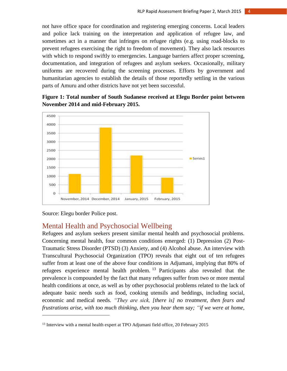not have office space for coordination and registering emerging concerns. Local leaders and police lack training on the interpretation and application of refugee law, and sometimes act in a manner that infringes on refugee rights (e.g. using road-blocks to prevent refugees exercising the right to freedom of movement). They also lack resources with which to respond swiftly to emergencies. Language barriers affect proper screening, documentation, and integration of refugees and asylum seekers. Occasionally, military uniforms are recovered during the screening processes. Efforts by government and humanitarian agencies to establish the details of those reportedly settling in the various parts of Amuru and other districts have not yet been successful.



**Figure 1: Total number of South Sudanese received at Elegu Border point between November 2014 and mid-February 2015.**

Source: Elegu border Police post.

 $\overline{a}$ 

## Mental Health and Psychosocial Wellbeing

Refugees and asylum seekers present similar mental health and psychosocial problems. Concerning mental health, four common conditions emerged: (1) Depression (2) Post-Traumatic Stress Disorder (PTSD) (3) Anxiety, and (4) Alcohol abuse. An interview with Transcultural Psychosocial Organization (TPO) reveals that eight out of ten refugees suffer from at least one of the above four conditions in Adjumani, implying that 80% of refugees experience mental health problem.  $13$  Participants also revealed that the prevalence is compounded by the fact that many refugees suffer from two or more mental health conditions at once, as well as by other psychosocial problems related to the lack of adequate basic needs such as food, cooking utensils and beddings, including social, economic and medical needs. *"They are sick, [there is] no treatment, then fears and frustrations arise, with too much thinking, then you hear them say; "if we were at home,* 

<sup>&</sup>lt;sup>13</sup> Interview with a mental health expert at TPO Adjumani field office, 20 February 2015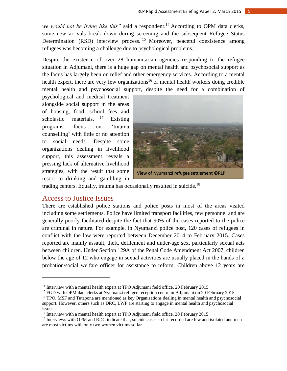*we would not be living like this"* said a respondent. <sup>14</sup> According to OPM data clerks, some new arrivals break down during screening and the subsequent Refugee Status Determination (RSD) interview process.<sup>15</sup> Moreover, peaceful coexistence among refugees was becoming a challenge due to psychological problems.

Despite the existence of over 28 humanitarian agencies responding to the refugee situation in Adjumani, there is a huge gap on mental health and psychosocial support as the focus has largely been on relief and other emergency services. According to a mental health expert, there are very few organizations<sup>16</sup> or mental health workers doing credible mental health and psychosocial support, despite the need for a combination of

psychological and medical treatment alongside social support in the areas of housing, food, school fees and scholastic materials.  $17$  Existing programs focus on 'trauma counselling' with little or no attention to social needs. Despite some organizations dealing in livelihood support, this assessment reveals a pressing lack of alternative livelihood strategies, with the result that some resort to drinking and gambling in



trading centers. Equally, trauma has occasionally resulted in suicide.<sup>18</sup>

## Access to Justice Issues

 $\overline{a}$ 

There are established police stations and police posts in most of the areas visited including some settlements. Police have limited transport facilities, few personnel and are generally poorly facilitated despite the fact that 90% of the cases reported to the police are criminal in nature. For example, in Nyumanzi police post, 120 cases of refugees in conflict with the law were reported between December 2014 to February 2015. Cases reported are mainly assault, theft, defilement and under-age sex, particularly sexual acts between children. Under Section 129A of the Penal Code Amendment Act 2007, children below the age of 12 who engage in sexual activities are usually placed in the hands of a probation/social welfare officer for assistance to reform. Children above 12 years are

<sup>&</sup>lt;sup>14</sup> Interview with a mental health expert at TPO Adjumani field office, 20 February 2015

<sup>&</sup>lt;sup>15</sup> FGD with OPM data clerks at Nyumanzi refugee reception centre in Adjumani on 20 February 2015

<sup>&</sup>lt;sup>16</sup> TPO, MSF and Tutapona are mentioned as key Organisations dealing in mental health and psychosocial support. However, others such as DRC, LWF are starting to engage in mental health and psychosocial issues

<sup>&</sup>lt;sup>17</sup> Interview with a mental health expert at TPO Adjumani field office, 20 February 2015

<sup>&</sup>lt;sup>18</sup> Interviews with OPM and RDC indicate that, suicide cases so far recorded are few and isolated and men are most victims with only two women victims so far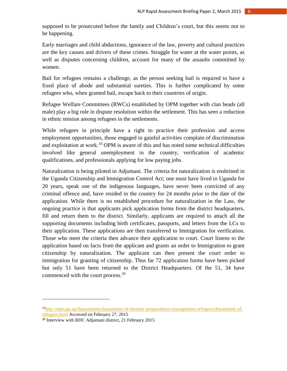supposed to be prosecuted before the family and Children's court, but this seems not to be happening.

Early marriages and child abductions, ignorance of the law, poverty and cultural practices are the key causes and drivers of these crimes. Struggle for water at the water points, as well as disputes concerning children, account for many of the assaults committed by women.

Bail for refugees remains a challenge, as the person seeking bail is required to have a fixed place of abode and substantial sureties. This is further complicated by some refugees who, when granted bail, escape back to their countries of origin.

Refugee Welfare Committees (RWCs) established by OPM together with clan heads (all male) play a big role in dispute resolution within the settlement. This has seen a reduction in ethnic tension among refugees in the settlements.

While refugees in principle have a right to practice their profession and access employment opportunities, those engaged in gainful activities complain of discrimination and exploitation at work.<sup>19</sup> OPM is aware of this and has noted some technical difficulties involved like general unemployment in the country, verification of academic qualifications, and professionals applying for low paying jobs.

Naturalization is being piloted in Adjumani. The criteria for naturalization is enshrined in the Uganda Citizenship and Immigration Control Act; one must have lived in Uganda for 20 years, speak one of the indigenous languages, have never been convicted of any criminal offence and, have resided in the country for 24 months prior to the date of the application. While there is no established procedure for naturalization in the Law, the ongoing practice is that applicants pick application forms from the district headquarters, fill and return them to the district. Similarly, applicants are required to attach all the supporting documents including birth certificates, passports, and letters from the LCs to their application. These applications are then transferred to Immigration for verification. Those who meet the criteria then advance their application to court. Court listens to the application based on facts from the applicant and grants an order to Immigration to grant citizenship by naturalization. The applicant can then present the court order to immigration for granting of citizenship. Thus far 72 application forms have been picked but only 51 have been returned to the District Headquarters. Of the 51, 34 have commenced with the court process.<sup>20</sup>

 $\overline{a}$ 

<sup>19</sup>[http://opm.go.ug/departments/department-of-disaster-preparedness-management-refugees/department-of](http://opm.go.ug/departments/department-of-disaster-preparedness-management-refugees/department-of-refugees.html)[refugees.html](http://opm.go.ug/departments/department-of-disaster-preparedness-management-refugees/department-of-refugees.html) Accessed on February 27, 2015

<sup>20</sup> Interview with RDC Adjumani district, 21 February 2015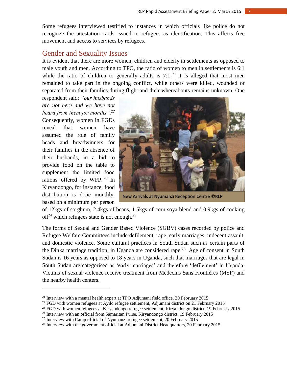Some refugees interviewed testified to instances in which officials like police do not recognize the attestation cards issued to refugees as identification. This affects free movement and access to services by refugees.

#### Gender and Sexuality Issues

It is evident that there are more women, children and elderly in settlements as opposed to male youth and men. According to TPO, the ratio of women to men in settlements is 6:1 while the ratio of children to generally adults is  $7:1.^{21}$  It is alleged that most men remained to take part in the ongoing conflict, while others were killed, wounded or separated from their families during flight and their whereabouts remains unknown. One

respondent said; *"our husbands are not here and we have not heard from them for months". 22* Consequently, women in FGDs reveal that women have assumed the role of family heads and breadwinners for their families in the absence of their husbands, in a bid to provide food on the table to supplement the limited food rations offered by WFP.<sup>23</sup> In Kiryandongo, for instance, food distribution is done monthly, based on a minimum per person

 $\overline{\phantom{a}}$ 



New Arrivals at Nyumanzi Reception Centre ©RLP

of 12kgs of sorghum, 2.4kgs of beans, 1.5kgs of corn soya blend and 0.9kgs of cooking  $\text{oil}^{24}$  which refugees state is not enough.<sup>25</sup>

The forms of Sexual and Gender Based Violence (SGBV) cases recorded by police and Refugee Welfare Committees include defilement, rape, early marriages, indecent assault, and domestic violence. Some cultural practices in South Sudan such as certain parts of the Dinka marriage tradition, in Uganda are considered rape.<sup>26</sup> Age of consent in South Sudan is 16 years as opposed to 18 years in Uganda, such that marriages that are legal in South Sudan are categorised as 'early marriages' and therefore 'defilement' in Uganda. Victims of sexual violence receive treatment from Médecins Sans Frontières (MSF) and the nearby health centers.

<sup>&</sup>lt;sup>21</sup> Interview with a mental health expert at TPO Adjumani field office, 20 February 2015

<sup>&</sup>lt;sup>22</sup> FGD with women refugees at Ayilo refugee settlement, Adjumani district on 21 February 2015

 $^{23}$  FGD with women refugees at Kiryandongo refugee settlement, Kiryandongo district, 19 February 2015

<sup>&</sup>lt;sup>24</sup> Interview with an official from Samaritan Purse, Kiryandongo district, 19 February 2015

<sup>&</sup>lt;sup>25</sup> Interview with Camp official of Nyumanzi refugee settlement, 20 February 2015

 $26$  Interview with the government official at Adjumani District Headquarters, 20 February 2015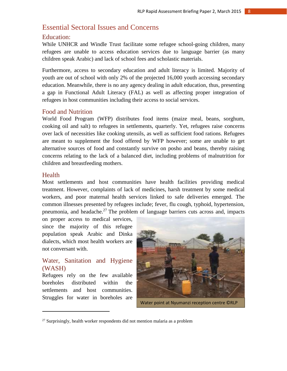## Essential Sectoral Issues and Concerns

#### Education:

While UNHCR and Windle Trust facilitate some refugee school-going children, many refugees are unable to access education services due to language barrier (as many children speak Arabic) and lack of school fees and scholastic materials.

Furthermore, access to secondary education and adult literacy is limited. Majority of youth are out of school with only 2% of the projected 16,000 youth accessing secondary education. Meanwhile, there is no any agency dealing in adult education, thus, presenting a gap in Functional Adult Literacy (FAL) as well as affecting proper integration of refugees in host communities including their access to social services.

#### Food and Nutrition

World Food Program (WFP) distributes food items (maize meal, beans, sorghum, cooking oil and salt) to refugees in settlements, quarterly. Yet, refugees raise concerns over lack of necessities like cooking utensils, as well as sufficient food rations. Refugees are meant to supplement the food offered by WFP however; some are unable to get alternative sources of food and constantly survive on posho and beans, thereby raising concerns relating to the lack of a balanced diet, including problems of malnutrition for children and breastfeeding mothers.

#### **Health**

l

Most settlements and host communities have health facilities providing medical treatment. However, complaints of lack of medicines, harsh treatment by some medical workers, and poor maternal health services linked to safe deliveries emerged. The common illnesses presented by refugees include; fever, flu cough, typhoid, hypertension, pneumonia, and headache.<sup>27</sup> The problem of language barriers cuts across and, impacts

on proper access to medical services, since the majority of this refugee population speak Arabic and Dinka dialects, which most health workers are not conversant with.

## Water, Sanitation and Hygiene (WASH)

Refugees rely on the few available boreholes distributed within the settlements and host communities. Struggles for water in boreholes are



Water point at Nyumanzi reception centre ©RLP

 $27$  Surprisingly, health worker respondents did not mention malaria as a problem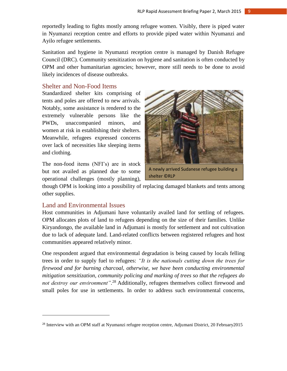reportedly leading to fights mostly among refugee women. Visibly, there is piped water in Nyumanzi reception centre and efforts to provide piped water within Nyumanzi and Ayilo refugee settlements.

Sanitation and hygiene in Nyumanzi reception centre is managed by Danish Refugee Council (DRC). Community sensitization on hygiene and sanitation is often conducted by OPM and other humanitarian agencies; however, more still needs to be done to avoid likely incidences of disease outbreaks.

#### Shelter and Non-Food Items

Standardized shelter kits comprising of tents and poles are offered to new arrivals. Notably, some assistance is rendered to the extremely vulnerable persons like the PWDs, unaccompanied minors, and women at risk in establishing their shelters. Meanwhile, refugees expressed concerns over lack of necessities like sleeping items and clothing.

The non-food items (NFI's) are in stock but not availed as planned due to some operational challenges (mostly planning),



A newly arrived Sudanese refugee building a shelter ©RLP

though OPM is looking into a possibility of replacing damaged blankets and tents among other supplies.

#### Land and Environmental Issues

 $\overline{a}$ 

Host communities in Adjumani have voluntarily availed land for settling of refugees. OPM allocates plots of land to refugees depending on the size of their families. Unlike Kiryandongo, the available land in Adjumani is mostly for settlement and not cultivation due to lack of adequate land. Land-related conflicts between registered refugees and host communities appeared relatively minor.

One respondent argued that environmental degradation is being caused by locals felling trees in order to supply fuel to refugees: *"It is the nationals cutting down the trees for firewood and for burning charcoal, otherwise, we have been conducting environmental mitigation sensitization, community policing and marking of trees so that the refugees do not destroy our environment".* <sup>28</sup> Additionally, refugees themselves collect firewood and small poles for use in settlements. In order to address such environmental concerns,

<sup>&</sup>lt;sup>28</sup> Interview with an OPM staff at Nyumanzi refugee reception centre, Adjumani District, 20 February2015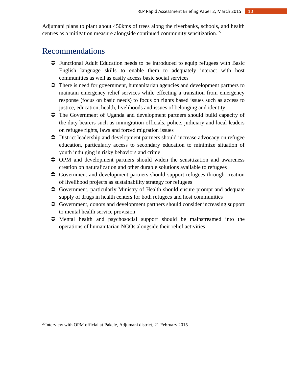Adjumani plans to plant about 450kms of trees along the riverbanks, schools, and health centres as a mitigation measure alongside continued community sensitization. *29*

# Recommendations

- Functional Adult Education needs to be introduced to equip refugees with Basic English language skills to enable them to adequately interact with host communities as well as easily access basic social services
- $\supset$  There is need for government, humanitarian agencies and development partners to maintain emergency relief services while effecting a transition from emergency response (focus on basic needs) to focus on rights based issues such as access to justice, education, health, livelihoods and issues of belonging and identity
- The Government of Uganda and development partners should build capacity of the duty bearers such as immigration officials, police, judiciary and local leaders on refugee rights, laws and forced migration issues
- District leadership and development partners should increase advocacy on refugee education, particularly access to secondary education to minimize situation of youth indulging in risky behaviors and crime
- OPM and development partners should widen the sensitization and awareness creation on naturalization and other durable solutions available to refugees
- Government and development partners should support refugees through creation of livelihood projects as sustainability strategy for refugees
- Government, particularly Ministry of Health should ensure prompt and adequate supply of drugs in health centers for both refugees and host communities
- Government, donors and development partners should consider increasing support to mental health service provision
- Mental health and psychosocial support should be mainstreamed into the operations of humanitarian NGOs alongside their relief activities

 $\overline{a}$ 

<sup>&</sup>lt;sup>29</sup>Interview with OPM official at Pakele, Adjumani district, 21 February 2015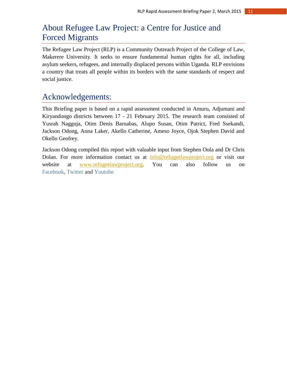# About Refugee Law Project: a Centre for Justice and Forced Migrants

The Refugee Law Project (RLP) is a Community Outreach Project of the College of Law, Makerere University. It seeks to ensure fundamental human rights for all, including asylum seekers, refugees, and internally displaced persons within Uganda. RLP envisions a country that treats all people within its borders with the same standards of respect and social justice.

# Acknowledgements:

This Briefing paper is based on a rapid assessment conducted in Amuru, Adjumani and Kiryandongo districts between 17 - 21 February 2015. The research team consisted of Yusrah Nagguja, Otim Denis Barnabas, Alupo Susan, Otim Patrict, Fred Ssekandi, Jackson Odong, Anna Laker, Akello Catherine, Ameso Joyce, Ojok Stephen David and Okello Geofrey.

Jackson Odong compiled this report with valuable input from Stephen Oola and Dr Chris Dolan. For more information contact us at [info@refugeelawproject.org](mailto:info@refugeelawproject.org) or visit our website at [www.refugeelawproject.org.](http://www.refugeelawproject.org/) You can also follow us on [Facebook,](http://www.facebook.com/pages/Refugee-Law-Project-RLP/149718461759529) [Twitter](https://twitter.com/refugeelawproj) and [Youtube](https://www.youtube.com/user/Refugeelawproject)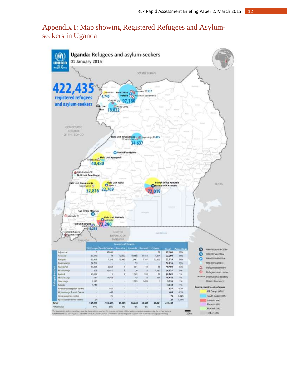# Appendix I: Map showing Registered Refugees and Asylumseekers in Uganda